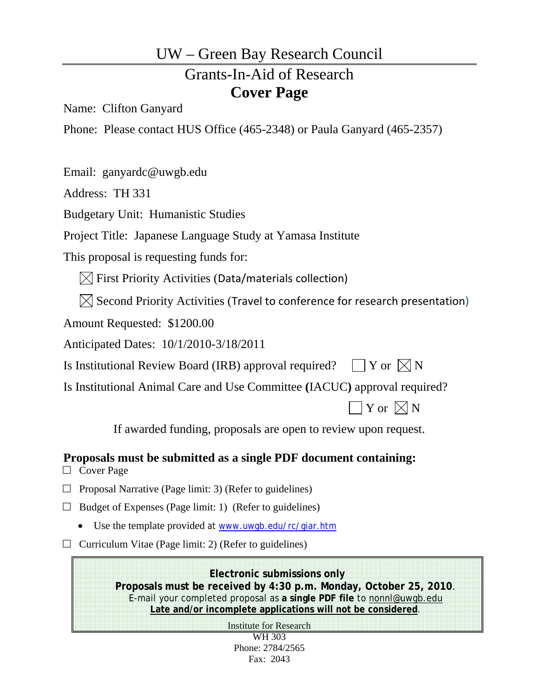# UW – Green Bay Research Council

# Grants-In-Aid of Research **Cover Page**

Name: Clifton Ganyard

Phone: Please contact HUS Office (465-2348) or Paula Ganyard (465-2357)

Email: ganyardc@uwgb.edu

Address: TH 331

Budgetary Unit: Humanistic Studies

Project Title: Japanese Language Study at Yamasa Institute

This proposal is requesting funds for:

 $[\times]$  First Priority Activities (Data/materials collection)

 $\boxtimes$  Second Priority Activities (Travel to conference for research presentation)

Amount Requested: \$1200.00

Anticipated Dates: 10/1/2010-3/18/2011

Is Institutional Review Board (IRB) approval required?  $\Box Y$  or  $\Box N$ 

Is Institutional Animal Care and Use Committee **(**IACUC**)** approval required?

 $\mathbf{Y}$  or  $\boxtimes \mathbf{N}$ 

If awarded funding, proposals are open to review upon request.

**Proposals must be submitted as a single PDF document containing:** 

□ Cover Page

 $\Box$  Proposal Narrative (Page limit: 3) (Refer to guidelines)

 $\Box$  Budget of Expenses (Page limit: 1) (Refer to guidelines)

Use the template provided at www.uwgb.edu/rc/giar.htm

 $\Box$  Curriculum Vitae (Page limit: 2) (Refer to guidelines)

**Electronic submissions only Proposals must be received by 4:30 p.m. Monday, October 25, 2010**. E-mail your completed proposal as **a single PDF file** to nonnl@uwgb.edu **Late and/or incomplete applications will not be considered**.

Institute for Research

WH 303 Phone: 2784/2565 Fax: 2043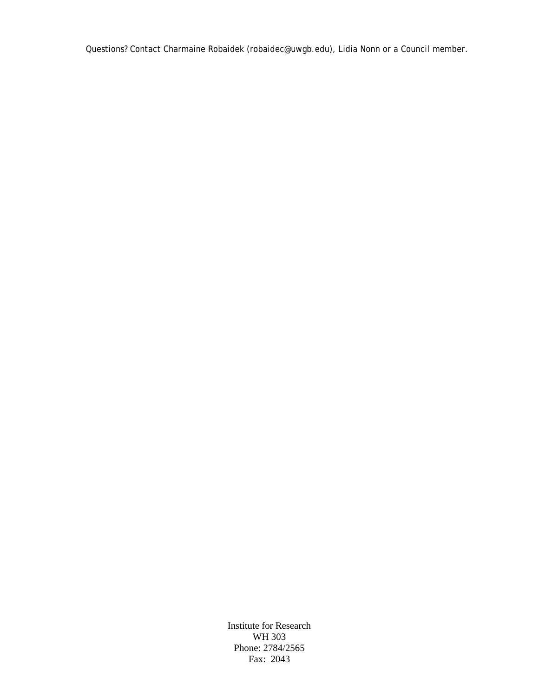Questions? Contact Charmaine Robaidek (robaidec@uwgb.edu), Lidia Nonn or a Council member.

Institute for Research WH 303 Phone: 2784/2565 Fax: 2043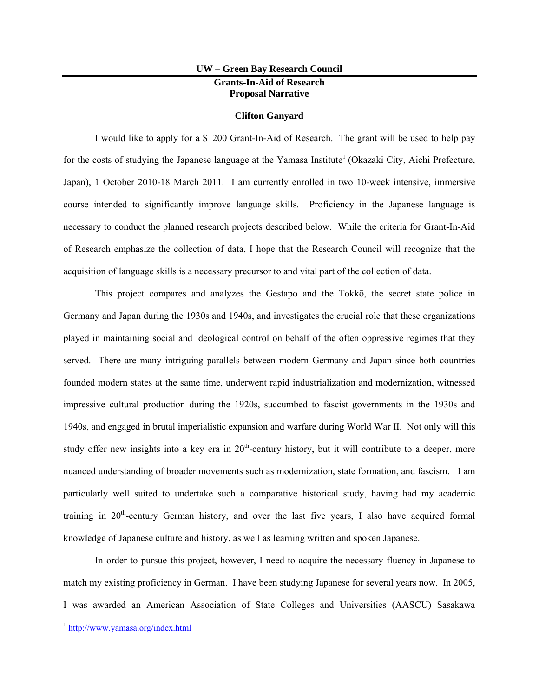#### **UW – Green Bay Research Council Grants-In-Aid of Research Proposal Narrative**

#### **Clifton Ganyard**

I would like to apply for a \$1200 Grant-In-Aid of Research. The grant will be used to help pay for the costs of studying the Japanese language at the Yamasa Institute<sup>1</sup> (Okazaki City, Aichi Prefecture, Japan), 1 October 2010-18 March 2011. I am currently enrolled in two 10-week intensive, immersive course intended to significantly improve language skills. Proficiency in the Japanese language is necessary to conduct the planned research projects described below. While the criteria for Grant-In-Aid of Research emphasize the collection of data, I hope that the Research Council will recognize that the acquisition of language skills is a necessary precursor to and vital part of the collection of data.

This project compares and analyzes the Gestapo and the Tokkō, the secret state police in Germany and Japan during the 1930s and 1940s, and investigates the crucial role that these organizations played in maintaining social and ideological control on behalf of the often oppressive regimes that they served. There are many intriguing parallels between modern Germany and Japan since both countries founded modern states at the same time, underwent rapid industrialization and modernization, witnessed impressive cultural production during the 1920s, succumbed to fascist governments in the 1930s and 1940s, and engaged in brutal imperialistic expansion and warfare during World War II. Not only will this study offer new insights into a key era in  $20<sup>th</sup>$ -century history, but it will contribute to a deeper, more nuanced understanding of broader movements such as modernization, state formation, and fascism. I am particularly well suited to undertake such a comparative historical study, having had my academic training in  $20<sup>th</sup>$ -century German history, and over the last five years, I also have acquired formal knowledge of Japanese culture and history, as well as learning written and spoken Japanese.

In order to pursue this project, however, I need to acquire the necessary fluency in Japanese to match my existing proficiency in German. I have been studying Japanese for several years now. In 2005, I was awarded an American Association of State Colleges and Universities (AASCU) Sasakawa

 <sup>1</sup> http://www.yamasa.org/index.html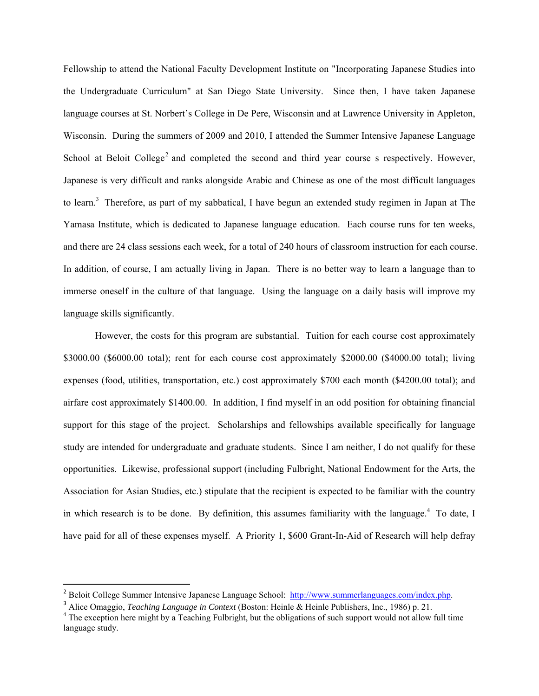Fellowship to attend the National Faculty Development Institute on "Incorporating Japanese Studies into the Undergraduate Curriculum" at San Diego State University. Since then, I have taken Japanese language courses at St. Norbert's College in De Pere, Wisconsin and at Lawrence University in Appleton, Wisconsin. During the summers of 2009 and 2010, I attended the Summer Intensive Japanese Language School at Beloit College<sup>2</sup> and completed the second and third year course s respectively. However, Japanese is very difficult and ranks alongside Arabic and Chinese as one of the most difficult languages to learn.<sup>3</sup> Therefore, as part of my sabbatical, I have begun an extended study regimen in Japan at The Yamasa Institute, which is dedicated to Japanese language education. Each course runs for ten weeks, and there are 24 class sessions each week, for a total of 240 hours of classroom instruction for each course. In addition, of course, I am actually living in Japan. There is no better way to learn a language than to immerse oneself in the culture of that language. Using the language on a daily basis will improve my language skills significantly.

However, the costs for this program are substantial. Tuition for each course cost approximately \$3000.00 (\$6000.00 total); rent for each course cost approximately \$2000.00 (\$4000.00 total); living expenses (food, utilities, transportation, etc.) cost approximately \$700 each month (\$4200.00 total); and airfare cost approximately \$1400.00. In addition, I find myself in an odd position for obtaining financial support for this stage of the project. Scholarships and fellowships available specifically for language study are intended for undergraduate and graduate students. Since I am neither, I do not qualify for these opportunities. Likewise, professional support (including Fulbright, National Endowment for the Arts, the Association for Asian Studies, etc.) stipulate that the recipient is expected to be familiar with the country in which research is to be done. By definition, this assumes familiarity with the language.<sup>4</sup> To date, I have paid for all of these expenses myself. A Priority 1, \$600 Grant-In-Aid of Research will help defray

<sup>&</sup>lt;sup>2</sup> Beloit College Summer Intensive Japanese Language School: http://www.summerlanguages.com/index.php.

<sup>3</sup> Alice Omaggio, *Teaching Language in Context* (Boston: Heinle & Heinle Publishers, Inc., 1986) p. 21. 4

<sup>&</sup>lt;sup>4</sup> The exception here might by a Teaching Fulbright, but the obligations of such support would not allow full time language study.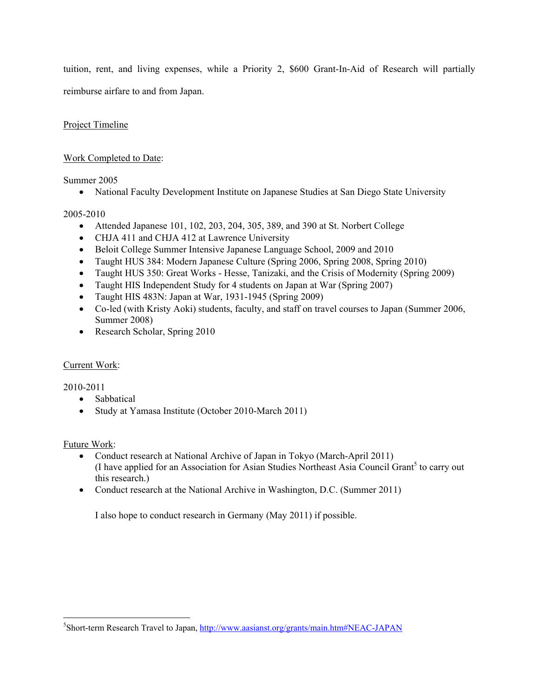tuition, rent, and living expenses, while a Priority 2, \$600 Grant-In-Aid of Research will partially reimburse airfare to and from Japan.

#### Project Timeline

#### Work Completed to Date:

#### Summer 2005

• National Faculty Development Institute on Japanese Studies at San Diego State University

#### 2005-2010

- Attended Japanese 101, 102, 203, 204, 305, 389, and 390 at St. Norbert College
- CHJA 411 and CHJA 412 at Lawrence University
- Beloit College Summer Intensive Japanese Language School, 2009 and 2010
- Taught HUS 384: Modern Japanese Culture (Spring 2006, Spring 2008, Spring 2010)
- Taught HUS 350: Great Works Hesse, Tanizaki, and the Crisis of Modernity (Spring 2009)
- Taught HIS Independent Study for 4 students on Japan at War (Spring 2007)
- Taught HIS 483N: Japan at War, 1931-1945 (Spring 2009)
- Co-led (with Kristy Aoki) students, faculty, and staff on travel courses to Japan (Summer 2006, Summer 2008)
- Research Scholar, Spring 2010

#### Current Work:

#### 2010-2011

• Sabbatical

• Study at Yamasa Institute (October 2010-March 2011)

#### Future Work:

- Conduct research at National Archive of Japan in Tokyo (March-April 2011) (I have applied for an Association for Asian Studies Northeast Asia Council Grant<sup>5</sup> to carry out this research.)
- Conduct research at the National Archive in Washington, D.C. (Summer 2011)

I also hope to conduct research in Germany (May 2011) if possible.

<sup>&</sup>lt;sup>5</sup>Short-term Research Travel to Japan, http://www.aasianst.org/grants/main.htm#NEAC-JAPAN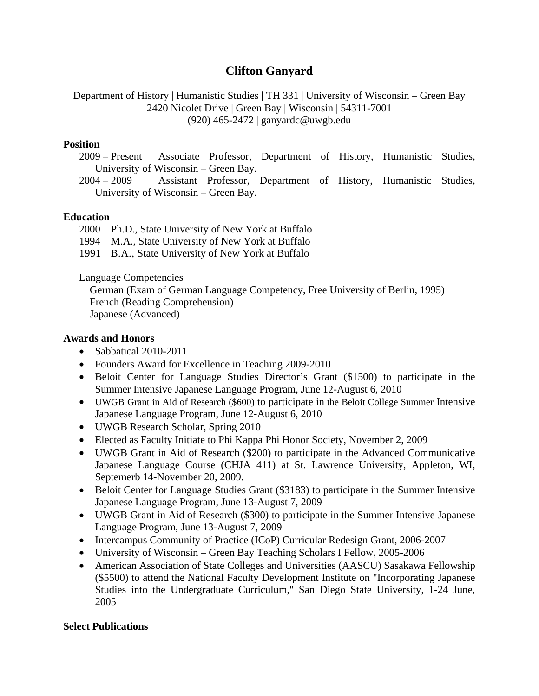## **Clifton Ganyard**

Department of History | Humanistic Studies | TH 331 | University of Wisconsin – Green Bay 2420 Nicolet Drive | Green Bay | Wisconsin | 54311-7001 (920) 465-2472 | ganyardc@uwgb.edu

#### **Position**

- 2009 Present Associate Professor, Department of History, Humanistic Studies, University of Wisconsin – Green Bay.
- 2004 2009 Assistant Professor, Department of History, Humanistic Studies, University of Wisconsin – Green Bay.

### **Education**

2000 Ph.D., State University of New York at Buffalo

1994 M.A., State University of New York at Buffalo

1991 B.A., State University of New York at Buffalo

Language Competencies

 German (Exam of German Language Competency, Free University of Berlin, 1995) French (Reading Comprehension) Japanese (Advanced)

### **Awards and Honors**

- Sabbatical 2010-2011
- Founders Award for Excellence in Teaching 2009-2010
- Beloit Center for Language Studies Director's Grant (\$1500) to participate in the Summer Intensive Japanese Language Program, June 12-August 6, 2010
- UWGB Grant in Aid of Research (\$600) to participate in the Beloit College Summer Intensive Japanese Language Program, June 12-August 6, 2010
- UWGB Research Scholar, Spring 2010
- Elected as Faculty Initiate to Phi Kappa Phi Honor Society, November 2, 2009
- UWGB Grant in Aid of Research (\$200) to participate in the Advanced Communicative Japanese Language Course (CHJA 411) at St. Lawrence University, Appleton, WI, Septemerb 14-November 20, 2009.
- Beloit Center for Language Studies Grant (\$3183) to participate in the Summer Intensive Japanese Language Program, June 13-August 7, 2009
- UWGB Grant in Aid of Research (\$300) to participate in the Summer Intensive Japanese Language Program, June 13-August 7, 2009
- Intercampus Community of Practice (ICoP) Curricular Redesign Grant, 2006-2007
- University of Wisconsin Green Bay Teaching Scholars I Fellow, 2005-2006
- American Association of State Colleges and Universities (AASCU) Sasakawa Fellowship (\$5500) to attend the National Faculty Development Institute on "Incorporating Japanese Studies into the Undergraduate Curriculum," San Diego State University, 1-24 June, 2005

### **Select Publications**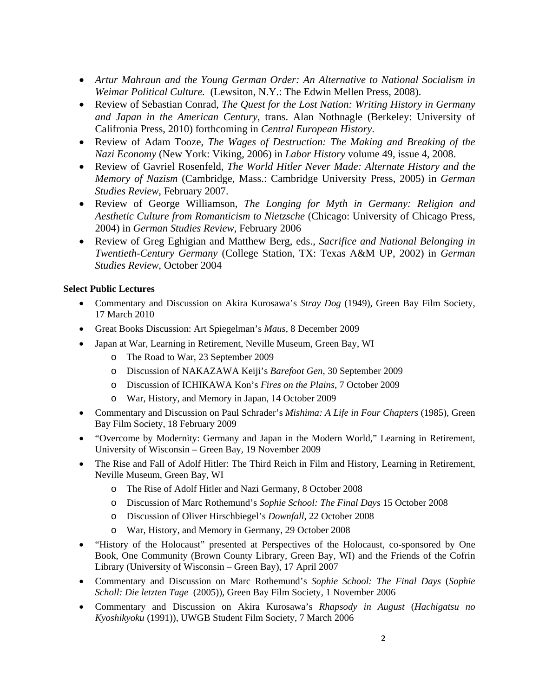- *Artur Mahraun and the Young German Order: An Alternative to National Socialism in Weimar Political Culture.* (Lewsiton, N.Y.: The Edwin Mellen Press, 2008).
- Review of Sebastian Conrad, *The Quest for the Lost Nation: Writing History in Germany and Japan in the American Century*, trans. Alan Nothnagle (Berkeley: University of Califronia Press, 2010) forthcoming in *Central European History*.
- Review of Adam Tooze, *The Wages of Destruction: The Making and Breaking of the Nazi Economy* (New York: Viking, 2006) in *Labor History* volume 49, issue 4, 2008.
- Review of Gavriel Rosenfeld, *The World Hitler Never Made: Alternate History and the Memory of Nazism* (Cambridge, Mass.: Cambridge University Press, 2005) in *German Studies Review*, February 2007.
- Review of George Williamson, *The Longing for Myth in Germany: Religion and Aesthetic Culture from Romanticism to Nietzsche* (Chicago: University of Chicago Press, 2004) in *German Studies Review*, February 2006
- Review of Greg Eghigian and Matthew Berg, eds., *Sacrifice and National Belonging in Twentieth-Century Germany* (College Station, TX: Texas A&M UP, 2002) in *German Studies Review*, October 2004

#### **Select Public Lectures**

- Commentary and Discussion on Akira Kurosawa's *Stray Dog* (1949), Green Bay Film Society, 17 March 2010
- Great Books Discussion: Art Spiegelman's *Maus*, 8 December 2009
- Japan at War, Learning in Retirement, Neville Museum, Green Bay, WI
	- o The Road to War, 23 September 2009
	- o Discussion of NAKAZAWA Keiji's *Barefoot Gen*, 30 September 2009
	- o Discussion of ICHIKAWA Kon's *Fires on the Plains*, 7 October 2009
	- o War, History, and Memory in Japan, 14 October 2009
- Commentary and Discussion on Paul Schrader's *Mishima: A Life in Four Chapters* (1985), Green Bay Film Society, 18 February 2009
- "Overcome by Modernity: Germany and Japan in the Modern World," Learning in Retirement, University of Wisconsin – Green Bay, 19 November 2009
- The Rise and Fall of Adolf Hitler: The Third Reich in Film and History, Learning in Retirement, Neville Museum, Green Bay, WI
	- o The Rise of Adolf Hitler and Nazi Germany, 8 October 2008
	- o Discussion of Marc Rothemund's *Sophie School: The Final Days* 15 October 2008
	- o Discussion of Oliver Hirschbiegel's *Downfall*, 22 October 2008
	- o War, History, and Memory in Germany, 29 October 2008
- "History of the Holocaust" presented at Perspectives of the Holocaust, co-sponsored by One Book, One Community (Brown County Library, Green Bay, WI) and the Friends of the Cofrin Library (University of Wisconsin – Green Bay), 17 April 2007
- Commentary and Discussion on Marc Rothemund's *Sophie School: The Final Days* (*Sophie Scholl: Die letzten Tage* (2005)), Green Bay Film Society, 1 November 2006
- Commentary and Discussion on Akira Kurosawa's *Rhapsody in August* (*Hachigatsu no Kyoshikyoku* (1991)), UWGB Student Film Society, 7 March 2006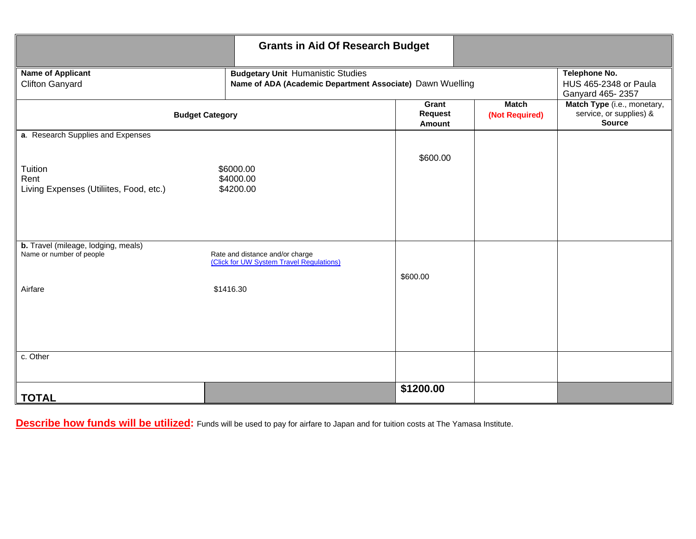|                                                                                                    | <b>Grants in Aid Of Research Budget</b>  |                                                           |                                                                         |  |  |
|----------------------------------------------------------------------------------------------------|------------------------------------------|-----------------------------------------------------------|-------------------------------------------------------------------------|--|--|
| <b>Name of Applicant</b><br><b>Clifton Ganyard</b>                                                 | <b>Budgetary Unit Humanistic Studies</b> | Name of ADA (Academic Department Associate) Dawn Wuelling |                                                                         |  |  |
| <b>Budget Category</b>                                                                             | Grant<br><b>Request</b><br>Amount        | <b>Match</b><br>(Not Required)                            | Match Type (i.e., monetary,<br>service, or supplies) &<br><b>Source</b> |  |  |
| a. Research Supplies and Expenses                                                                  |                                          |                                                           |                                                                         |  |  |
| Tuition<br>\$6000.00<br>\$4000.00<br>Rent<br>Living Expenses (Utiliites, Food, etc.)<br>\$4200.00  |                                          | \$600.00                                                  |                                                                         |  |  |
| b. Travel (mileage, lodging, meals)<br>Name or number of people<br>Rate and distance and/or charge |                                          |                                                           |                                                                         |  |  |
| (Click for UW System Travel Regulations)<br>\$1416.30<br>Airfare                                   |                                          | \$600.00                                                  |                                                                         |  |  |
|                                                                                                    |                                          |                                                           |                                                                         |  |  |
| c. Other                                                                                           |                                          |                                                           |                                                                         |  |  |
| <b>TOTAL</b>                                                                                       |                                          | \$1200.00                                                 |                                                                         |  |  |

**Describe how funds will be utilized:** Funds will be used to pay for airfare to Japan and for tuition costs at The Yamasa Institute.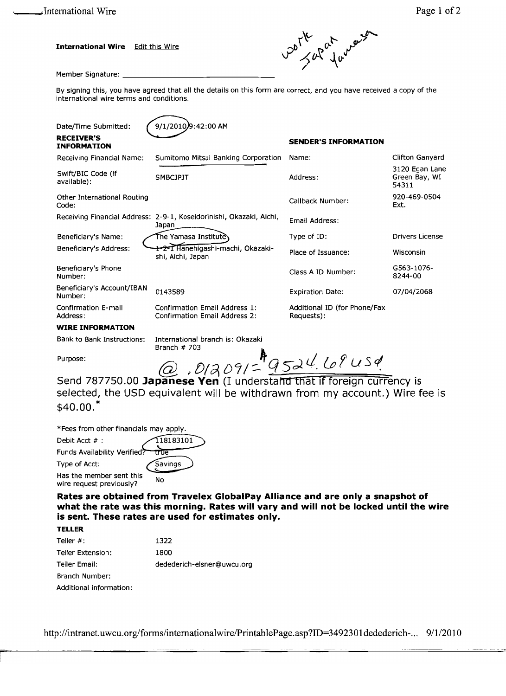**International Wire Edit this Wire** 



Member Signature: \_

By signing this, you have agreed that all the details on this form are correct, and you have received a copy of the international wire terms and conditions.

| Date/Time Submitted:                    | 9/1/2010)9:42:00 AM                                                          |                                            |                                          |
|-----------------------------------------|------------------------------------------------------------------------------|--------------------------------------------|------------------------------------------|
| <b>RECEIVER'S</b><br><b>INFORMATION</b> |                                                                              | <b>SENDER'S INFORMATION</b>                |                                          |
| Receiving Financial Name:               | Sumitomo Mitsui Banking Corporation                                          | Name:                                      | Clifton Ganyard                          |
| Swift/BIC Code (if<br>available):       | <b>SMBCJPJT</b>                                                              | Address:                                   | 3120 Egan Lane<br>Green Bay, WI<br>54311 |
| Other International Routing<br>Code:    |                                                                              | Callback Number:                           | 920-469-0504<br>Ext.                     |
|                                         | Receiving Financial Address: 2-9-1, Koseidorinishi, Okazaki, Aichi,<br>Japan | Email Address:                             |                                          |
| Beneficiary's Name:                     | The Yamasa Instituteे\                                                       | Type of ID:                                | <b>Drivers License</b>                   |
| Beneficiary's Address:                  | 1-2-1 Hanehigashi-machi, Okazaki-<br>shi, Aichi, Japan                       | Place of Issuance:                         | Wisconsin                                |
| Beneficiary's Phone<br>Number:          |                                                                              | Class A ID Number:                         | G563-1076-<br>8244-00                    |
| Beneficiary's Account/IBAN<br>Number:   | 0143589                                                                      | <b>Expiration Date:</b>                    | 07/04/2068                               |
| <b>Confirmation E-mail</b><br>Address:  | Confirmation Email Address 1:<br><b>Confirmation Email Address 2:</b>        | Additional ID (for Phone/Fax<br>Requests): |                                          |
| <b>WIRE INFORMATION</b>                 |                                                                              |                                            |                                          |
| <b>Bank to Bank Instructions:</b>       | International branch is: Okazaki<br>Branch $#703$                            |                                            |                                          |
| Purpose:                                | $.012091 = 9524.684$                                                         |                                            |                                          |
|                                         |                                                                              |                                            |                                          |

Send 787750.00 Japanese Yen (I understand that if foreign currency is selected, the USD equivalent will be withdrawn from my account.) Wire fee is  $$40.00.<sup>*</sup>$ 

\*Fees from other financials may apply.

| Debit Acct #:                                        | 118183101 |
|------------------------------------------------------|-----------|
| Funds Availability Verified?                         | true      |
| Type of Acct:                                        | Savings   |
| Has the member sent this<br>wire request previously? | No        |

Rates are obtained from Travelex GlobalPay Alliance and are only a snapshot of what the rate was this morning. Rates will vary and will not be locked until the wire is sent. These rates are used for estimates only.

#### **TELLER**

| Teller $#$ :            | 1322                       |
|-------------------------|----------------------------|
| Teller Extension:       | 1800                       |
| Teller Email:           | dedederich-elsner@uwcu.org |
| Branch Number:          |                            |
| Additional information: |                            |

http://intranet.uwcu.org/forms/internationalwire/PrintablePage.asp?ID=3492301dedederich-... 9/1/2010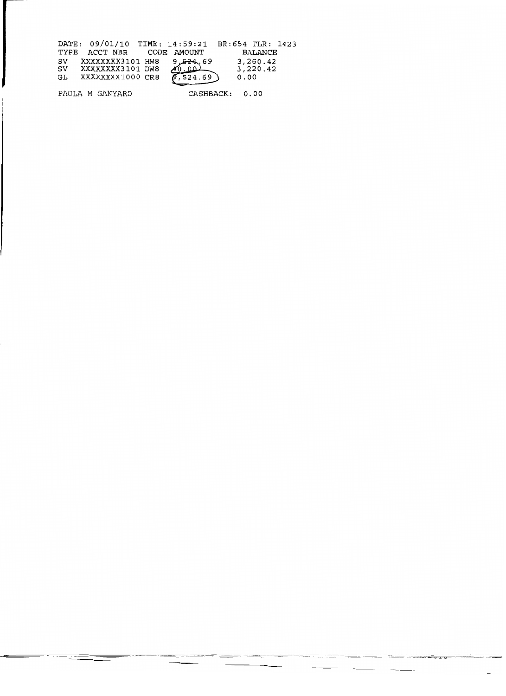| DATE: 09/01/10 TIME: 14:59:21 BR:654 TLR: 1423 |                        |                |  |
|------------------------------------------------|------------------------|----------------|--|
| TYPE ACCT NBR CODE AMOUNT                      |                        | BALANCE        |  |
| SV XXXXXXXX3101 HW8                            | 69, <del>24 ك</del> ور | 3,260.42       |  |
| SV XXXXXXXX3101 DW8                            | 40.001                 | 3,220.42       |  |
| XXXXXXXX1000 CR8<br>GL                         | 6,524.69               | 0.00           |  |
| PAULA M GANYARD                                |                        | CASHBACK: 0.00 |  |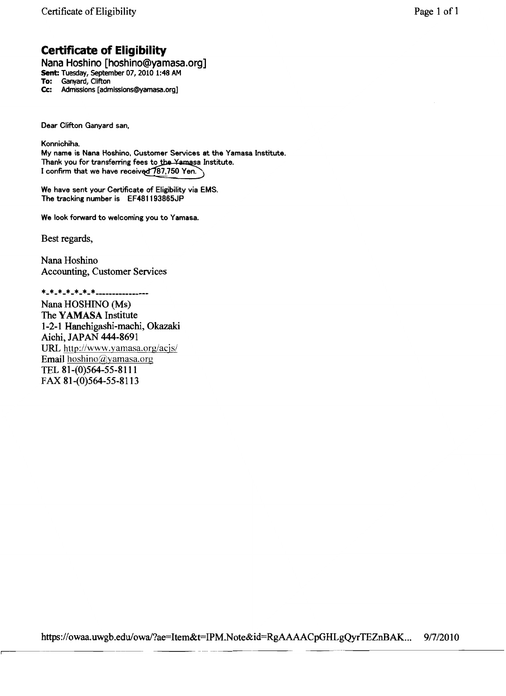## **Certificate of Eligibility**

Nana Hoshino [hoshino@yamasa.org]<br>Sent: Tuesday, September 07, 2010 1:48 AM To: Ganyard, Clifton Admissions [admissions@yamasa.org] Cc:

Dear Clifton Ganvard san.

Konnichiha. My name is Nana Hoshino, Customer Services at the Yamasa Institute. Thank you for transferring fees to the Yamasa Institute. I confirm that we have received 787,750 Yen.

We have sent your Certificate of Eligibility via EMS. The tracking number is EF481193865JP

We look forward to welcoming you to Yamasa.

Best regards,

Nana Hoshino **Accounting, Customer Services** 

\*\_\*\_\*\_\*\_\*\_\*\_\*\_\*\_\_\_\_\_\_\_\_\_\_\_\_\_\_\_\_ Nana HOSHINO (Ms) The YAMASA Institute 1-2-1 Hanehigashi-machi, Okazaki Aichi, JAPAN 444-8691 URL http://www.yamasa.org/acjs/ Email hoshino@yamasa.org TEL 81-(0)564-55-8111 FAX 81-(0)564-55-8113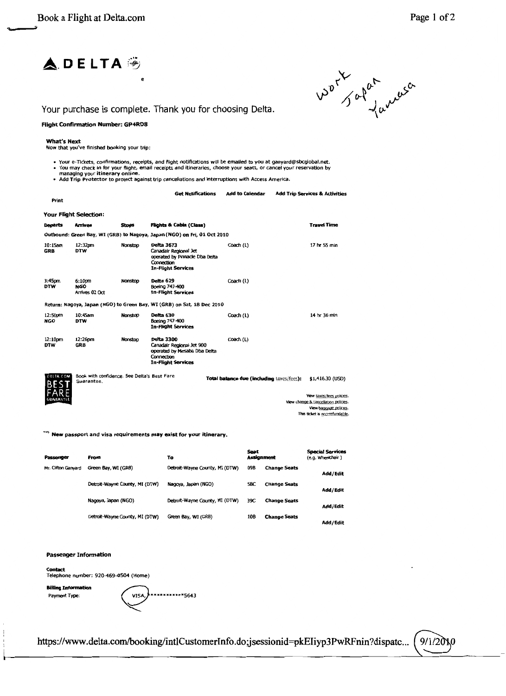



Your purchase is complete. Thank you for choosing Delta.

#### **Flight Confirmation Number: GP4RD8**

#### **What's Next**

Now that you've finished booking your trip:

**Get Notifications** 

- Your e-Tickets, confirmations, receipts, and flight notifications will be emailed to you at ganyard@sbcglobal.net.<br>• You may check in for your flight, email receipts and itineraries, choose your seats, or cancel your re
- 

| Print                    |                                                           |              |                                                                                                                           |                                           |                                      |
|--------------------------|-----------------------------------------------------------|--------------|---------------------------------------------------------------------------------------------------------------------------|-------------------------------------------|--------------------------------------|
|                          | <b>Your Flight Selection:</b>                             |              |                                                                                                                           |                                           |                                      |
| <b>Departs</b>           | <b>Arrives</b>                                            | <b>Stops</b> | <b>Flights &amp; Cabin (Class)</b>                                                                                        |                                           | <b>Travel Time</b>                   |
|                          |                                                           |              | Outbound: Green Bay, WI (GRB) to Nagoya, Japan (NGO) on Fri, 01 Oct 2010                                                  |                                           |                                      |
| $10:15$ am<br><b>GRB</b> | 12:32pm<br><b>DTW</b>                                     | Nonston      | Delta 3673<br>Canadair Regional Jet<br>operated by Pinnacle Dba Delta<br>Connection<br><b>In-Flight Services</b>          | Coach (L)                                 | 17 hr 55 min                         |
| 3:45pm<br><b>DTW</b>     | 6:10pm<br><b>NGO</b><br>Arrives 02 Oct                    | Nonstop      | Delta 629<br>Boeing 747-400<br><b>In-Flight Services</b>                                                                  | Coach (L)                                 |                                      |
|                          |                                                           |              | Return: Nagoya, Japan (NGO) to Green Bay, WI (GRB) on Sat, 18 Dec 2010                                                    |                                           |                                      |
| 12:50pm<br><b>NGO</b>    | 10:45am<br><b>DTW</b>                                     | Nonstop      | Delta 630<br>Boeing 747-400<br><b>In-Flight Services</b>                                                                  | Coach (L)                                 | 14 hr 36 min                         |
| 12:10pm<br><b>DTW</b>    | 12:26pm<br><b>GRB</b>                                     | Nonstoo      | <b>Delta 3300</b><br>Canadair Regional Jet 900<br>operated by Mesaba Dba Delta<br>Connection<br><b>In-Flight Services</b> | Coach (L)                                 |                                      |
| <b>DELTA COM</b>         | Book with confidence. See Delta's Best Fare<br>Guarantee. |              |                                                                                                                           | Total balance due (including taxes/fees): | \$1,416.30 (USD)                     |
| GUARANTLE                |                                                           |              |                                                                                                                           |                                           | View taxes/fees policies.            |
|                          |                                                           |              |                                                                                                                           |                                           | View change & cancellation policies. |

View baccage policies This ticket is non-refundable.

Add to Calendar Add Trip Services & Activities

"" New passport and visa requirements may exist for your itinerary.

| Passenger           | From                           | To                             | Seat<br><b>Assignment</b> |                     | <b>Special Services</b><br>(e.g. Wheelchair) |
|---------------------|--------------------------------|--------------------------------|---------------------------|---------------------|----------------------------------------------|
| Mr. Clifton Ganyard | Green Bay, WI (GRB)            | Detroit-Wayne County, MI (DTW) | 09B                       | <b>Change Seats</b> | Add/Edit                                     |
|                     | Detroit-Wayne County, MI (DTW) | Nagoya, Japan (NGO)            | 58C                       | <b>Change Seats</b> | Add/Edit                                     |
|                     | Nagoya, Japan (NGO)            | Detroit-Wayne County, MI (DTW) | 39C                       | <b>Change Seats</b> | Add / Edit                                   |
|                     | Detroit-Wayne County, MI (DTW) | Green Bay, WI (GRB)            | 108                       | <b>Change Seats</b> | Add/Edit                                     |

#### **Passenger Information**

**Contact** Telephone number: 920-469-0504 (Home)

**Billing Information** Payment Type:

\*\*\*\*\*\*\*\*\*5643 VISA

https://www.delta.com/booking/intlCustomerInfo.do;jsessionid=pkEIiyp3PwRFnin?dispatc...  $9/1/20N$